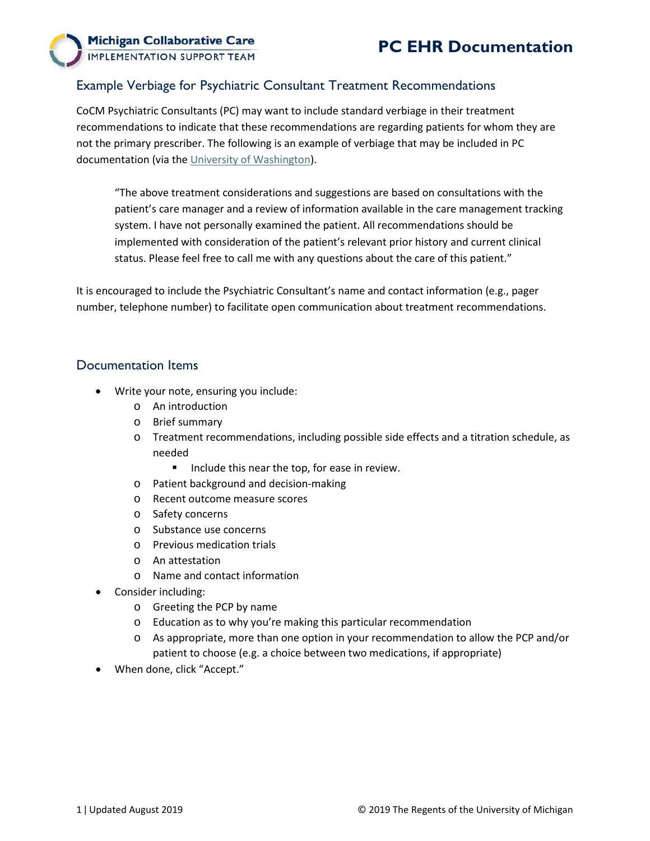

## Example Verbiage for Psychiatric Consultant Treatment Recommendations

CoCM Psychiatric Consultants (PC) may want to include standard verbiage in their treatment recommendations to indicate that these recommendations are regarding patients for whom they are not the primary prescriber. The following is an example of verbiage that may be included in PC documentation (via the [University of Washington\)](https://aims.uw.edu/resource-library/example-disclaimer-psychiatric-consultants).

"The above treatment considerations and suggestions are based on consultations with the patient's care manager and a review of information available in the care management tracking system. I have not personally examined the patient. All recommendations should be implemented with consideration of the patient's relevant prior history and current clinical status. Please feel free to call me with any questions about the care of this patient."

It is encouraged to include the Psychiatric Consultant's name and contact information (e.g., pager number, telephone number) to facilitate open communication about treatment recommendations.

## Documentation Items

- Write your note, ensuring you include:
	- o An introduction
	- o Brief summary
	- o Treatment recommendations, including possible side effects and a titration schedule, as needed
		- **Include this near the top, for ease in review.**
	- o Patient background and decision-making
	- o Recent outcome measure scores
	- o Safety concerns
	- o Substance use concerns
	- o Previous medication trials
	- o An attestation
	- o Name and contact information
- Consider including:
	- o Greeting the PCP by name
	- o Education as to why you're making this particular recommendation
	- o As appropriate, more than one option in your recommendation to allow the PCP and/or patient to choose (e.g. a choice between two medications, if appropriate)
- When done, click "Accept."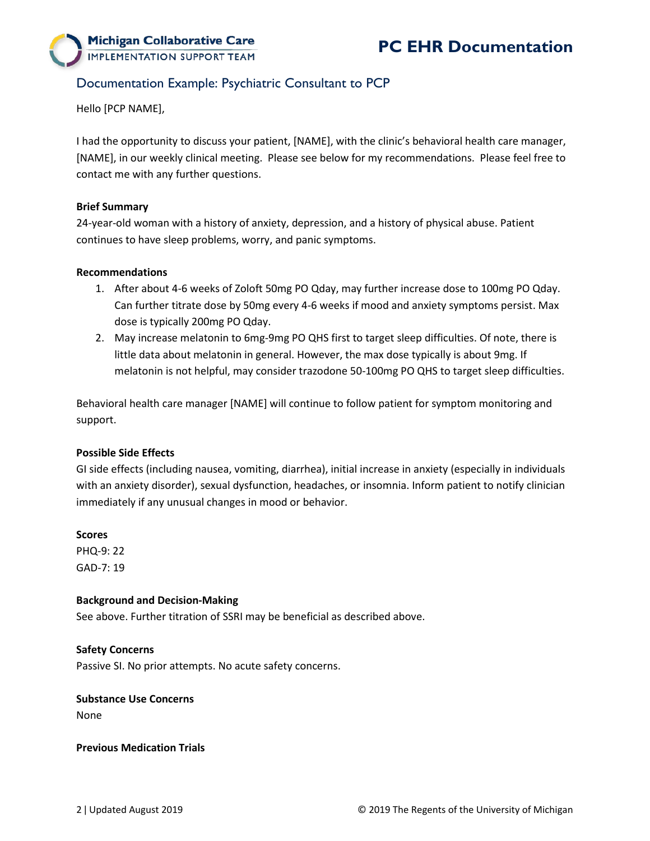

# Documentation Example: Psychiatric Consultant to PCP

Hello [PCP NAME],

I had the opportunity to discuss your patient, [NAME], with the clinic's behavioral health care manager, [NAME], in our weekly clinical meeting. Please see below for my recommendations. Please feel free to contact me with any further questions.

### **Brief Summary**

24-year-old woman with a history of anxiety, depression, and a history of physical abuse. Patient continues to have sleep problems, worry, and panic symptoms.

### **Recommendations**

- 1. After about 4-6 weeks of Zoloft 50mg PO Qday, may further increase dose to 100mg PO Qday. Can further titrate dose by 50mg every 4-6 weeks if mood and anxiety symptoms persist. Max dose is typically 200mg PO Qday.
- 2. May increase melatonin to 6mg-9mg PO QHS first to target sleep difficulties. Of note, there is little data about melatonin in general. However, the max dose typically is about 9mg. If melatonin is not helpful, may consider trazodone 50-100mg PO QHS to target sleep difficulties.

Behavioral health care manager [NAME] will continue to follow patient for symptom monitoring and support.

## **Possible Side Effects**

GI side effects (including nausea, vomiting, diarrhea), initial increase in anxiety (especially in individuals with an anxiety disorder), sexual dysfunction, headaches, or insomnia. Inform patient to notify clinician immediately if any unusual changes in mood or behavior.

#### **Scores**

PHQ-9: 22 GAD-7: 19

#### **Background and Decision-Making**

See above. Further titration of SSRI may be beneficial as described above.

## **Safety Concerns**

Passive SI. No prior attempts. No acute safety concerns.

#### **Substance Use Concerns**

None

#### **Previous Medication Trials**